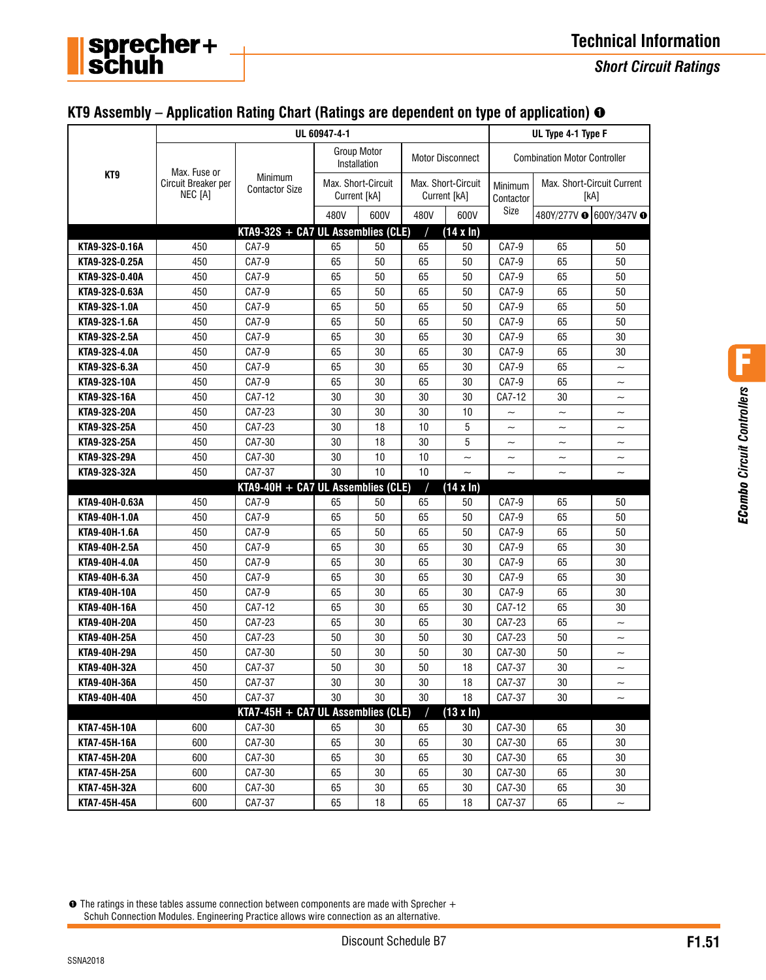|  |  | KT9 Assembly – Application Rating Chart (Ratings are dependent on type of application) $\bm{\Theta}$ |  |
|--|--|------------------------------------------------------------------------------------------------------|--|
|  |  |                                                                                                      |  |

sprecher+<br>schuh

|                 |                                | UL 60947-4-1                            | UL Type 4-1 Type F                 |                             |                                    |                          |                                     |                                    |                         |  |
|-----------------|--------------------------------|-----------------------------------------|------------------------------------|-----------------------------|------------------------------------|--------------------------|-------------------------------------|------------------------------------|-------------------------|--|
| KT <sub>9</sub> | Max. Fuse or                   | <b>Minimum</b><br><b>Contactor Size</b> |                                    | Group Motor<br>Installation |                                    | <b>Motor Disconnect</b>  | <b>Combination Motor Controller</b> |                                    |                         |  |
|                 | Circuit Breaker per<br>NEC [A] |                                         | Max. Short-Circuit<br>Current [kA] |                             | Max. Short-Circuit<br>Current [kA] |                          | Minimum<br>Contactor                | Max. Short-Circuit Current<br>[kA] |                         |  |
|                 |                                |                                         | 480V                               | 600V                        | 480V                               | 600V                     | Size                                |                                    | 480Y/277V + 600Y/347V + |  |
|                 |                                | $KTA9-32S + CAY UL Assemblies (CLE)$    |                                    |                             |                                    | $(14 \times ln)$         |                                     |                                    |                         |  |
| KTA9-32S-0.16A  | 450                            | CA7-9                                   | 65                                 | 50                          | 65                                 | 50                       | CA7-9                               | 65                                 | 50                      |  |
| KTA9-32S-0.25A  | 450                            | CA7-9                                   | 65                                 | 50                          | 65                                 | 50                       | CA7-9                               | 65                                 | 50                      |  |
| KTA9-32S-0.40A  | 450                            | CA7-9                                   | 65                                 | 50                          | 65                                 | 50                       | CA7-9                               | 65                                 | 50                      |  |
| KTA9-32S-0.63A  | 450                            | CA7-9                                   | 65                                 | 50                          | 65                                 | 50                       | CA7-9                               | 65                                 | 50                      |  |
| KTA9-32S-1.0A   | 450                            | CA7-9                                   | 65                                 | 50                          | 65                                 | 50                       | CA7-9                               | 65                                 | 50                      |  |
| KTA9-32S-1.6A   | 450                            | CA7-9                                   | 65                                 | 50                          | 65                                 | 50                       | CA7-9                               | 65                                 | 50                      |  |
| KTA9-32S-2.5A   | 450                            | CA7-9                                   | 65                                 | 30                          | 65                                 | 30                       | CA7-9                               | 65                                 | 30                      |  |
| KTA9-32S-4.0A   | 450                            | CA7-9                                   | 65                                 | 30                          | 65                                 | 30                       | CA7-9                               | 65                                 | 30                      |  |
| KTA9-32S-6.3A   | 450                            | CA7-9                                   | 65                                 | 30                          | 65                                 | 30                       | CA7-9                               | 65                                 | $\sim$                  |  |
| KTA9-32S-10A    | 450                            | CA7-9                                   | 65                                 | 30                          | 65                                 | 30                       | CA7-9                               | 65                                 | $\tilde{\phantom{a}}$   |  |
| KTA9-32S-16A    | 450                            | CA7-12                                  | 30                                 | 30                          | 30                                 | 30                       | CA7-12                              | 30                                 | $\tilde{\phantom{a}}$   |  |
| KTA9-32S-20A    | 450                            | CA7-23                                  | 30                                 | 30                          | 30                                 | 10                       | $\tilde{\phantom{a}}$               | $\sim$                             | $\tilde{\phantom{a}}$   |  |
| KTA9-32S-25A    | 450                            | CA7-23                                  | 30                                 | 18                          | 10                                 | 5                        | $\sim$                              | $\overline{\phantom{0}}$           | $\tilde{\phantom{a}}$   |  |
| KTA9-32S-25A    | 450                            | CA7-30                                  | 30                                 | 18                          | 30                                 | 5                        | $\overline{\phantom{0}}$            | $\sim$                             | $\tilde{\phantom{a}}$   |  |
| KTA9-32S-29A    | 450                            | CA7-30                                  | 30                                 | 10                          | 10                                 | $\sim$                   | $\tilde{\phantom{a}}$               | $\sim$                             | $\tilde{\phantom{a}}$   |  |
| KTA9-32S-32A    | 450                            | CA7-37                                  | 30                                 | 10                          | 10                                 | $\overline{\phantom{0}}$ | $\sim$                              | $\sim$                             | $\sim$                  |  |
|                 |                                | $KTA9-40H + CA7 UL Assemblies (CLE)$    |                                    |                             |                                    | $(14 \times ln)$         |                                     |                                    |                         |  |
| KTA9-40H-0.63A  | 450                            | CA7-9                                   | 65                                 | 50                          | 65                                 | 50                       | CA7-9                               | 65                                 | 50                      |  |
| KTA9-40H-1.0A   | 450                            | CA7-9                                   | 65                                 | 50                          | 65                                 | 50                       | CA7-9                               | 65                                 | 50                      |  |
| KTA9-40H-1.6A   | 450                            | CA7-9                                   | 65                                 | 50                          | 65                                 | 50                       | CA7-9                               | 65                                 | 50                      |  |
| KTA9-40H-2.5A   | 450                            | CA7-9                                   | 65                                 | 30                          | 65                                 | 30                       | CA7-9                               | 65                                 | 30                      |  |
| KTA9-40H-4.0A   | 450                            | CA7-9                                   | 65                                 | 30                          | 65                                 | 30                       | CA7-9                               | 65                                 | 30                      |  |
| KTA9-40H-6.3A   | 450                            | CA7-9                                   | 65                                 | 30                          | 65                                 | 30                       | CA7-9                               | 65                                 | 30                      |  |
| KTA9-40H-10A    | 450                            | CA7-9                                   | 65                                 | 30                          | 65                                 | 30                       | CA7-9                               | 65                                 | 30                      |  |
| KTA9-40H-16A    | 450                            | CA7-12                                  | 65                                 | 30                          | 65                                 | 30                       | CA7-12                              | 65                                 | 30                      |  |
| KTA9-40H-20A    | 450                            | CA7-23                                  | 65                                 | 30                          | 65                                 | 30                       | CA7-23                              | 65                                 | $\sim$                  |  |
| KTA9-40H-25A    | 450                            | CA7-23                                  | 50                                 | 30                          | 50                                 | 30                       | CA7-23                              | 50                                 | $\tilde{\phantom{a}}$   |  |
| KTA9-40H-29A    | 450                            | CA7-30                                  | 50                                 | 30                          | 50                                 | 30                       | CA7-30                              | 50                                 | $\tilde{}$              |  |
| KTA9-40H-32A    | 450                            | CA7-37                                  | 50                                 | 30                          | 50                                 | 18                       | CA7-37                              | 30                                 | $\tilde{\phantom{a}}$   |  |
| KTA9-40H-36A    | 450                            | CA7-37                                  | $30\,$                             | $30\,$                      | $30\,$                             | $18\,$                   | CA7-37                              | $30\,$                             |                         |  |
| KTA9-40H-40A    | 450                            | CA7-37                                  | 30                                 | 30                          | 30                                 | 18                       | CA7-37                              | 30                                 |                         |  |
|                 |                                | $KTAY-45H + CAY UL Assemblies (CLE)$    |                                    |                             |                                    | $(13 \times ln)$         |                                     |                                    |                         |  |
| KTA7-45H-10A    | 600                            | CA7-30                                  | 65                                 | 30                          | 65                                 | 30                       | CA7-30                              | 65                                 | 30                      |  |
| KTA7-45H-16A    | 600                            | CA7-30                                  | 65                                 | 30                          | 65                                 | 30                       | CA7-30                              | 65                                 | 30                      |  |
| KTA7-45H-20A    | 600                            | CA7-30                                  | 65                                 | 30                          | 65                                 | 30                       | CA7-30                              | 65                                 | 30                      |  |
| KTA7-45H-25A    | 600                            | CA7-30                                  | 65                                 | 30                          | 65                                 | 30                       | CA7-30                              | 65                                 | 30                      |  |
| KTA7-45H-32A    | 600                            | CA7-30                                  | 65                                 | 30                          | 65                                 | 30                       | CA7-30                              | 65                                 | 30                      |  |
| KTA7-45H-45A    | 600                            | CA7-37                                  | 65                                 | 18                          | 65                                 | 18                       | CA7-37                              | 65                                 |                         |  |

➊ The ratings in these tables assume connection between components are made with Sprecher + Schuh Connection Modules. Engineering Practice allows wire connection as an alternative.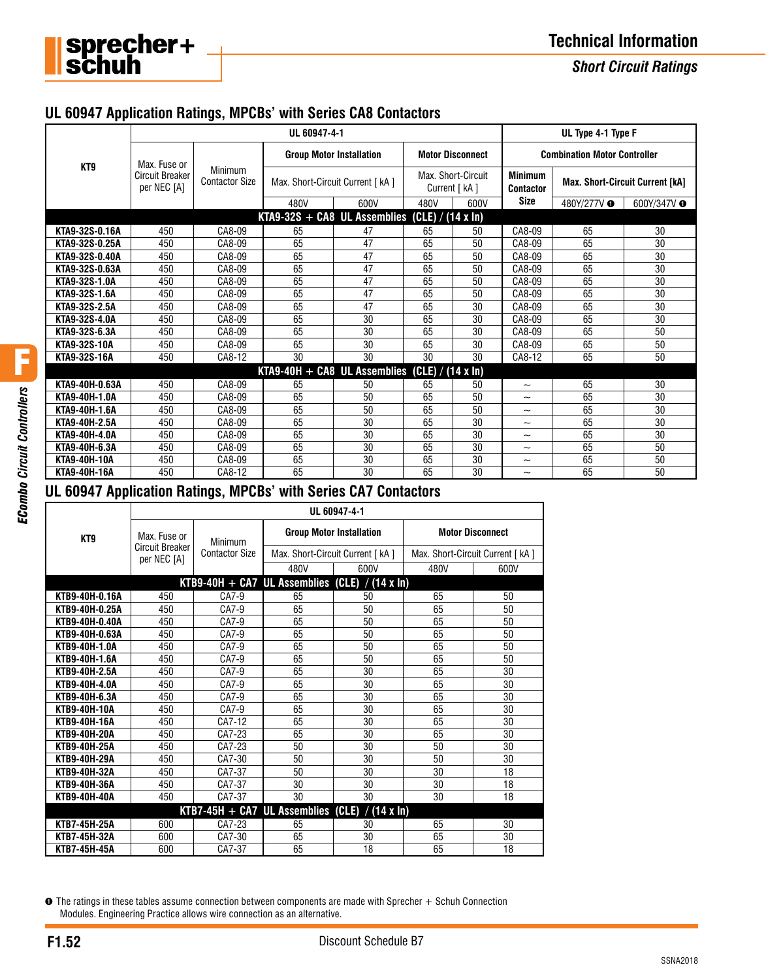

## **Technical Information**

*Short Circuit Ratings*

#### **UL 60947 Application Ratings, MPCBs' with Series CA8 Contactors**

|                     |                                                       |                                  | UL Type 4-1 Type F                |    |                                      |      |                                     |                                        |                        |
|---------------------|-------------------------------------------------------|----------------------------------|-----------------------------------|----|--------------------------------------|------|-------------------------------------|----------------------------------------|------------------------|
| KT9                 | Max. Fuse or<br><b>Circuit Breaker</b><br>per NEC [A] | Minimum<br><b>Contactor Size</b> | <b>Group Motor Installation</b>   |    | <b>Motor Disconnect</b>              |      | <b>Combination Motor Controller</b> |                                        |                        |
|                     |                                                       |                                  | Max. Short-Circuit Current [ kA ] |    | Max. Short-Circuit<br>Current [ kA ] |      | <b>Minimum</b><br><b>Contactor</b>  | <b>Max. Short-Circuit Current [kA]</b> |                        |
|                     |                                                       |                                  | 480V<br>600V                      |    | 480V                                 | 600V | <b>Size</b>                         | 480Y/277V <b>O</b>                     | 600Y/347V <sup>O</sup> |
|                     |                                                       |                                  | $KTA9-32S + CAB UL Assemblies$    |    | (CLE) / (14 x ln)                    |      |                                     |                                        |                        |
| KTA9-32S-0.16A      | 450                                                   | CA8-09                           | 65                                | 47 | 65                                   | 50   | CA8-09                              | 65                                     | 30                     |
| KTA9-32S-0.25A      | 450                                                   | CA8-09                           | 65                                | 47 | 65                                   | 50   | CA8-09                              | 65                                     | 30                     |
| KTA9-32S-0.40A      | 450                                                   | CA8-09                           | 65                                | 47 | 65                                   | 50   | CA8-09                              | 65                                     | 30                     |
| KTA9-32S-0.63A      | 450                                                   | CA8-09                           | 65                                | 47 | 65                                   | 50   | CA8-09                              | 65                                     | 30                     |
| KTA9-32S-1.0A       | 450                                                   | CA8-09                           | 65                                | 47 | 65                                   | 50   | CA8-09                              | 65                                     | 30                     |
| KTA9-32S-1.6A       | 450                                                   | CA8-09                           | 65                                | 47 | 65                                   | 50   | CA8-09                              | 65                                     | 30                     |
| KTA9-32S-2.5A       | 450                                                   | CA8-09                           | 65                                | 47 | 65                                   | 30   | CA8-09                              | 65                                     | 30                     |
| KTA9-32S-4.0A       | 450                                                   | CA8-09                           | 65                                | 30 | 65                                   | 30   | CA8-09                              | 65                                     | 30                     |
| KTA9-32S-6.3A       | 450                                                   | CA8-09                           | 65                                | 30 | 65                                   | 30   | CA8-09                              | 65                                     | 50                     |
| <b>KTA9-32S-10A</b> | 450                                                   | CA8-09                           | 65                                | 30 | 65                                   | 30   | CA8-09                              | 65                                     | 50                     |
| KTA9-32S-16A        | 450                                                   | CA8-12                           | 30                                | 30 | 30                                   | 30   | CA8-12                              | 65                                     | 50                     |
|                     |                                                       |                                  | $KTA9-40H + CAB UL Assemblies$    |    | $(CLE) / (14 \times In)$             |      |                                     |                                        |                        |
| KTA9-40H-0.63A      | 450                                                   | CA8-09                           | 65                                | 50 | 65                                   | 50   | $\widetilde{\phantom{m}}$           | 65                                     | 30                     |
| KTA9-40H-1.0A       | 450                                                   | CA8-09                           | 65                                | 50 | 65                                   | 50   | $\tilde{\phantom{a}}$               | 65                                     | 30                     |
| KTA9-40H-1.6A       | 450                                                   | CA8-09                           | 65                                | 50 | 65                                   | 50   | $\widetilde{\phantom{m}}$           | 65                                     | 30                     |
| KTA9-40H-2.5A       | 450                                                   | CA8-09                           | 65                                | 30 | 65                                   | 30   | $\widetilde{\phantom{m}}$           | 65                                     | 30                     |
| KTA9-40H-4.0A       | 450                                                   | CA8-09                           | 65                                | 30 | 65                                   | 30   | $\tilde{\phantom{a}}$               | 65                                     | 30                     |
| KTA9-40H-6.3A       | 450                                                   | CA8-09                           | 65                                | 30 | 65                                   | 30   | $\widetilde{\phantom{m}}$           | 65                                     | 50                     |
| <b>KTA9-40H-10A</b> | 450                                                   | CA8-09                           | 65                                | 30 | 65                                   | 30   | $\widetilde{\phantom{m}}$           | 65                                     | 50                     |
| <b>KTA9-40H-16A</b> | 450                                                   | CA8-12                           | 65                                | 30 | 65                                   | 30   | $\widetilde{\phantom{m}}$           | 65                                     | 50                     |

### **UL 60947 Application Ratings, MPCBs' with Series CA7 Contactors**

|                     | UL 60947-4-1                                          |                                  |                                      |               |                                   |      |  |  |  |
|---------------------|-------------------------------------------------------|----------------------------------|--------------------------------------|---------------|-----------------------------------|------|--|--|--|
| KT9                 | Max. Fuse or                                          | Minimum<br><b>Contactor Size</b> | <b>Group Motor Installation</b>      |               | <b>Motor Disconnect</b>           |      |  |  |  |
|                     | <b>Circuit Breaker</b><br>per NEC [A]                 |                                  | Max. Short-Circuit Current [ kA ]    |               | Max. Short-Circuit Current [ kA ] |      |  |  |  |
|                     |                                                       |                                  | 480V                                 | 600V          | 480V                              | 600V |  |  |  |
|                     |                                                       |                                  | $KTB9-40H + CA7 UL Assemblies (CLE)$ | $/$ (14 x ln) |                                   |      |  |  |  |
| KTB9-40H-0.16A      | 450                                                   | CA7-9                            | 65                                   | 50            | 65                                | 50   |  |  |  |
| KTB9-40H-0.25A      | 450                                                   | CA7-9                            | 65                                   | 50            | 65                                | 50   |  |  |  |
| KTB9-40H-0.40A      | 450                                                   | CA7-9                            | 65                                   | 50            | 65                                | 50   |  |  |  |
| KTB9-40H-0.63A      | 450                                                   | CA7-9                            | 65                                   | 50            | 65                                | 50   |  |  |  |
| KTB9-40H-1.0A       | 450                                                   | CA7-9                            | 65                                   | 50            | 65                                | 50   |  |  |  |
| KTB9-40H-1.6A       | 450                                                   | CA7-9                            | 65                                   | 50            | 65                                | 50   |  |  |  |
| KTB9-40H-2.5A       | 450                                                   | CA7-9                            | 65                                   | 30            | 65                                | 30   |  |  |  |
| KTB9-40H-4.0A       | 450                                                   | CA7-9                            | 65                                   | 30            | 65                                | 30   |  |  |  |
| KTB9-40H-6.3A       | 450                                                   | CA7-9                            | 65                                   | 30            | 65                                | 30   |  |  |  |
| <b>KTB9-40H-10A</b> | 450                                                   | CA7-9                            | 65                                   | 30            | 65                                | 30   |  |  |  |
| KTB9-40H-16A        | 450                                                   | CA7-12                           | 65                                   | 30            | 65                                | 30   |  |  |  |
| KTB9-40H-20A        | 450                                                   | CA7-23                           | 65                                   | 30            | 65                                | 30   |  |  |  |
| KTB9-40H-25A        | 450                                                   | CA7-23                           | 50                                   | 30            | 50                                | 30   |  |  |  |
| KTB9-40H-29A        | 450                                                   | CA7-30                           | 50                                   | 30            | 50                                | 30   |  |  |  |
| KTB9-40H-32A        | 450                                                   | CA7-37                           | 50                                   | 30            | 30                                | 18   |  |  |  |
| KTB9-40H-36A        | 450                                                   | CA7-37                           | 30                                   | 30            | 30                                | 18   |  |  |  |
| <b>KTB9-40H-40A</b> | 450                                                   | CA7-37                           | 30                                   | 30            | 30                                | 18   |  |  |  |
|                     | $/$ (14 x ln)<br>$KTB7-45H + CAY$ UL Assemblies (CLE) |                                  |                                      |               |                                   |      |  |  |  |
| <b>KTB7-45H-25A</b> | 600                                                   | CA7-23                           | 65                                   | 30            | 65                                | 30   |  |  |  |
| <b>KTB7-45H-32A</b> | 600                                                   | CA7-30                           | 65                                   | 30            | 65                                | 30   |  |  |  |
| KTB7-45H-45A        | 600                                                   | CA7-37                           | 65                                   | 18            | 65                                | 18   |  |  |  |

➊ The ratings in these tables assume connection between components are made with Sprecher + Schuh Connection Modules. Engineering Practice allows wire connection as an alternative.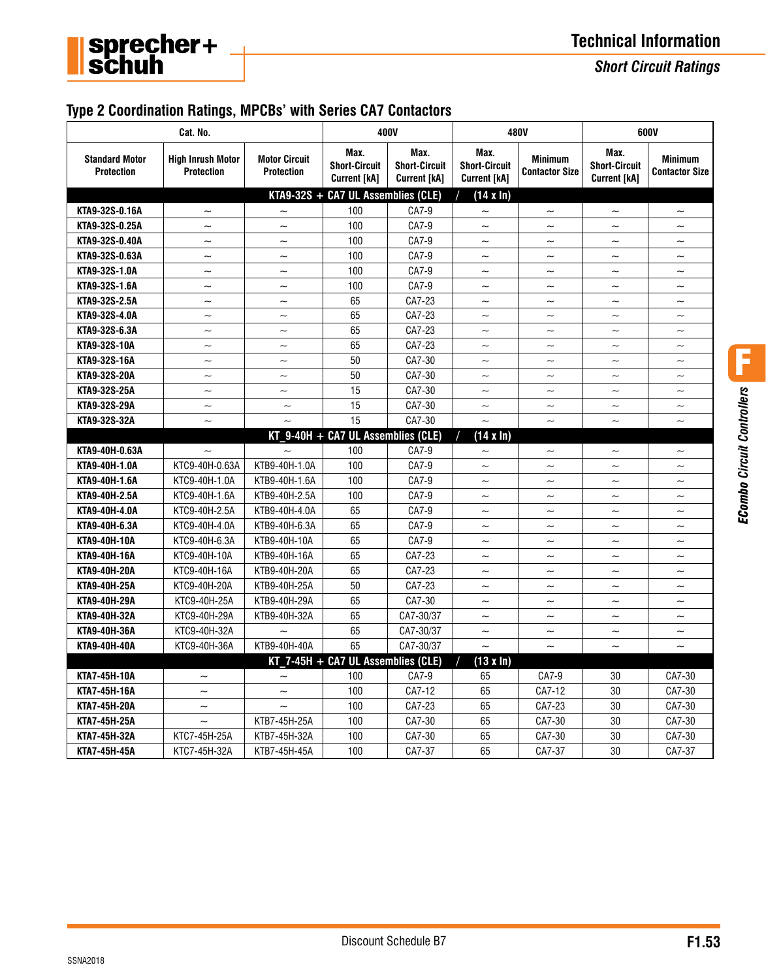

## **Technical Information**

*Short Circuit Ratings*

### **Type 2 Coordination Ratings, MPCBs' with Series CA7 Contactors**

| Cat. No.                                                  |                                                                                            |                           | 400V                                                |                                                     |                                                     | 480V                                    | 600V                                                |                                         |  |
|-----------------------------------------------------------|--------------------------------------------------------------------------------------------|---------------------------|-----------------------------------------------------|-----------------------------------------------------|-----------------------------------------------------|-----------------------------------------|-----------------------------------------------------|-----------------------------------------|--|
| <b>Standard Motor</b><br><b>Protection</b>                | <b>High Inrush Motor</b><br><b>Motor Circuit</b><br><b>Protection</b><br><b>Protection</b> |                           | Max.<br><b>Short-Circuit</b><br><b>Current [kA]</b> | Max.<br><b>Short-Circuit</b><br><b>Current [kA]</b> | Max.<br><b>Short-Circuit</b><br><b>Current [kA]</b> | <b>Minimum</b><br><b>Contactor Size</b> | Max.<br><b>Short-Circuit</b><br><b>Current [kA]</b> | <b>Minimum</b><br><b>Contactor Size</b> |  |
|                                                           |                                                                                            |                           | $KTA9-32S + CA7 UL Assemblies (CLE)$                |                                                     | $(14 \times ln)$                                    |                                         |                                                     |                                         |  |
| KTA9-32S-0.16A                                            | $\sim$                                                                                     | $\sim$                    | 100                                                 | CA7-9                                               | $\sim$                                              |                                         | $\overline{\phantom{0}}$                            | $\tilde{\phantom{a}}$                   |  |
| KTA9-32S-0.25A                                            | $\widetilde{\phantom{m}}$                                                                  | $\sim$                    | 100                                                 | CA7-9                                               | $\tilde{\phantom{a}}$                               | $\tilde{\phantom{a}}$                   | $\tilde{\phantom{a}}$                               | $\tilde{}$                              |  |
| KTA9-32S-0.40A                                            | $\tilde{\phantom{a}}$                                                                      | $\tilde{\phantom{a}}$     | 100                                                 | CA7-9                                               | $\tilde{\phantom{a}}$                               | $\tilde{\phantom{0}}$                   | $\tilde{\phantom{a}}$                               | $\tilde{\phantom{a}}$                   |  |
| KTA9-32S-0.63A                                            | $\tilde{\phantom{a}}$                                                                      | $\tilde{\phantom{a}}$     | 100                                                 | CA7-9                                               | $\widetilde{\phantom{m}}$                           | $\sim$                                  | $\tilde{}$                                          | $\tilde{\phantom{0}}$                   |  |
| KTA9-32S-1.0A                                             | $\overline{\phantom{0}}$                                                                   | $\tilde{\phantom{0}}$     | 100                                                 | CA7-9                                               | $\tilde{\phantom{a}}$                               | $\overline{\phantom{0}}$                | $\sim$                                              | $\overline{\phantom{0}}$                |  |
| KTA9-32S-1.6A                                             | $\tilde{\phantom{a}}$                                                                      | $\tilde{}$                | 100                                                 | CA7-9                                               | $\tilde{}$                                          | $\tilde{}$                              | $\overline{\phantom{0}}$                            | $\tilde{\phantom{a}}$                   |  |
| KTA9-32S-2.5A                                             | $\tilde{\phantom{a}}$                                                                      | $\widetilde{\phantom{m}}$ | 65                                                  | CA7-23                                              | $\tilde{\phantom{a}}$                               | $\tilde{\phantom{a}}$                   | $\tilde{\phantom{a}}$                               | $\tilde{\phantom{a}}$                   |  |
| KTA9-32S-4.0A                                             | $\overline{\phantom{0}}$                                                                   | $\sim$                    | 65                                                  | CA7-23                                              | $\tilde{\phantom{a}}$                               | $\tilde{\phantom{a}}$                   | $\tilde{\phantom{a}}$                               | $\tilde{\phantom{a}}$                   |  |
| KTA9-32S-6.3A                                             | $\tilde{\phantom{0}}$                                                                      | $\tilde{\phantom{0}}$     | 65                                                  | CA7-23                                              | $\sim$                                              | $\sim$                                  | $\sim$                                              | $\tilde{\phantom{0}}$                   |  |
| <b>KTA9-32S-10A</b>                                       | $\tilde{\phantom{0}}$                                                                      | $\sim$                    | 65                                                  | CA7-23                                              | $\widetilde{\phantom{m}}$                           | $\tilde{\phantom{a}}$                   | $\sim$                                              | $\tilde{\phantom{a}}$                   |  |
| KTA9-32S-16A                                              | $\widetilde{\phantom{m}}$                                                                  | $\widetilde{\phantom{m}}$ | 50                                                  | CA7-30                                              | $\widetilde{\phantom{m}}$                           | $\widetilde{\phantom{m}}$               | $\tilde{\phantom{a}}$                               | $\tilde{\phantom{a}}$                   |  |
| KTA9-32S-20A                                              | $\tilde{\phantom{a}}$                                                                      | $\tilde{\phantom{a}}$     | 50                                                  | CA7-30                                              | $\widetilde{\phantom{m}}$                           | $\tilde{}$                              | $\tilde{}$                                          | $\tilde{\phantom{a}}$                   |  |
| KTA9-32S-25A                                              | $\widetilde{\phantom{m}}$                                                                  | $\tilde{\phantom{a}}$     | 15                                                  | CA7-30                                              | $\widetilde{\phantom{m}}$                           | $\tilde{\phantom{a}}$                   | $\tilde{}$                                          | $\tilde{\phantom{a}}$                   |  |
| KTA9-32S-29A                                              | $\tilde{\phantom{a}}$                                                                      | $\sim$                    | 15                                                  | CA7-30                                              | $\widetilde{\phantom{m}}$                           | $\tilde{\phantom{a}}$                   | $\tilde{}$                                          | $\tilde{}$                              |  |
| KTA9-32S-32A                                              | $\sim$                                                                                     |                           | 15                                                  | CA7-30                                              | $\sim$                                              | $\sim$                                  | $\sim$                                              | $\sim$                                  |  |
|                                                           | $KT$ 9-40H + CA7 UL Assemblies (CLE)<br>$(14 \times \ln)$                                  |                           |                                                     |                                                     |                                                     |                                         |                                                     |                                         |  |
| KTA9-40H-0.63A                                            |                                                                                            |                           | 100                                                 | CA7-9                                               | $\tilde{\phantom{a}}$                               | $\tilde{\phantom{a}}$                   | $\tilde{\phantom{a}}$                               | $\tilde{\phantom{a}}$                   |  |
| KTA9-40H-1.0A                                             | KTC9-40H-0.63A                                                                             | KTB9-40H-1.0A             | 100                                                 | CA7-9                                               | $\sim$                                              | $\sim$                                  | $\sim$                                              | $\sim$                                  |  |
| KTA9-40H-1.6A                                             | KTC9-40H-1.0A                                                                              | KTB9-40H-1.6A             | 100                                                 | CA7-9                                               | $\tilde{\phantom{a}}$                               | $\tilde{}$                              | $\sim$                                              | $\tilde{\phantom{a}}$                   |  |
| KTA9-40H-2.5A                                             | KTC9-40H-1.6A                                                                              | KTB9-40H-2.5A             | 100                                                 | CA7-9                                               | $\sim$                                              | $\sim$                                  | $\sim$                                              | $\tilde{\phantom{a}}$                   |  |
| KTA9-40H-4.0A                                             | KTC9-40H-2.5A                                                                              | KTB9-40H-4.0A             | 65                                                  | CA7-9                                               | $\overline{\phantom{0}}$                            | $\overline{\phantom{0}}$                | $\sim$                                              | $\tilde{}$                              |  |
| KTA9-40H-6.3A                                             | KTC9-40H-4.0A                                                                              | KTB9-40H-6.3A             | 65                                                  | CA7-9                                               | $\sim$                                              | $\sim$                                  | $\sim$                                              | $\overline{\phantom{0}}$                |  |
| KTA9-40H-10A                                              | KTC9-40H-6.3A                                                                              | KTB9-40H-10A              | 65                                                  | CA7-9                                               | $\tilde{\phantom{a}}$                               | $\sim$                                  | $\tilde{\phantom{a}}$                               | $\tilde{\phantom{0}}$                   |  |
| KTA9-40H-16A                                              | KTC9-40H-10A                                                                               | KTB9-40H-16A              | 65                                                  | CA7-23                                              | $\widetilde{\phantom{m}}$                           | $\sim$                                  | $\sim$                                              | $\tilde{}$                              |  |
| KTA9-40H-20A                                              | KTC9-40H-16A                                                                               | KTB9-40H-20A              | 65                                                  | CA7-23                                              | $\tilde{\phantom{a}}$                               | $\sim$                                  | $\sim$                                              | $\tilde{\phantom{a}}$                   |  |
| KTA9-40H-25A                                              | KTC9-40H-20A                                                                               | KTB9-40H-25A              | 50                                                  | CA7-23                                              | $\tilde{\phantom{a}}$                               | $\tilde{\phantom{a}}$                   | $\sim$                                              | $\tilde{\phantom{a}}$                   |  |
| KTA9-40H-29A                                              | KTC9-40H-25A                                                                               | KTB9-40H-29A              | 65                                                  | CA7-30                                              | $\widetilde{\phantom{m}}$                           | $\widetilde{\phantom{m}}$               | $\widetilde{\phantom{m}}$                           | $\widetilde{\phantom{m}}$               |  |
| KTA9-40H-32A                                              | KTC9-40H-29A                                                                               | KTB9-40H-32A              | 65                                                  | CA7-30/37                                           | $\tilde{\phantom{a}}$                               | $\tilde{\phantom{a}}$                   | $\tilde{\phantom{a}}$                               | $\tilde{\phantom{a}}$                   |  |
| KTA9-40H-36A                                              | KTC9-40H-32A                                                                               | $\sim$                    | 65                                                  | CA7-30/37                                           | $\widetilde{\phantom{m}}$                           | $\tilde{\phantom{a}}$                   | $\widetilde{\phantom{m}}$                           | $\tilde{\phantom{0}}$                   |  |
| <b>KTA9-40H-40A</b>                                       | KTC9-40H-36A                                                                               | KTB9-40H-40A              | 65                                                  | CA7-30/37                                           |                                                     |                                         |                                                     |                                         |  |
| $KT$ 7-45H + CA7 UL Assemblies (CLE)<br>$(13 \times \ln)$ |                                                                                            |                           |                                                     |                                                     |                                                     |                                         |                                                     |                                         |  |
| KTA7-45H-10A                                              | $\tilde{\phantom{a}}$                                                                      | $\tilde{}$                | 100                                                 | CA7-9                                               | 65                                                  | CA7-9                                   | 30                                                  | CA7-30                                  |  |
| KTA7-45H-16A                                              | $\tilde{\phantom{a}}$                                                                      | $\tilde{\phantom{a}}$     | 100                                                 | CA7-12                                              | 65                                                  | CA7-12                                  | 30                                                  | CA7-30                                  |  |
| <b>KTA7-45H-20A</b>                                       | $\tilde{\phantom{a}}$                                                                      | $\sim$                    | 100                                                 | CA7-23                                              | 65                                                  | CA7-23                                  | 30                                                  | CA7-30                                  |  |
| <b>KTA7-45H-25A</b>                                       | $\sim$                                                                                     | KTB7-45H-25A              | 100                                                 | CA7-30                                              | 65                                                  | CA7-30                                  | 30                                                  | CA7-30                                  |  |
| <b>KTA7-45H-32A</b>                                       | KTC7-45H-25A                                                                               | KTB7-45H-32A              | 100                                                 | CA7-30                                              | 65                                                  | CA7-30                                  | 30                                                  | CA7-30                                  |  |
| <b>KTA7-45H-45A</b>                                       | KTC7-45H-32A                                                                               | KTB7-45H-45A              | 100                                                 | CA7-37                                              | 65                                                  | CA7-37                                  | 30                                                  | CA7-37                                  |  |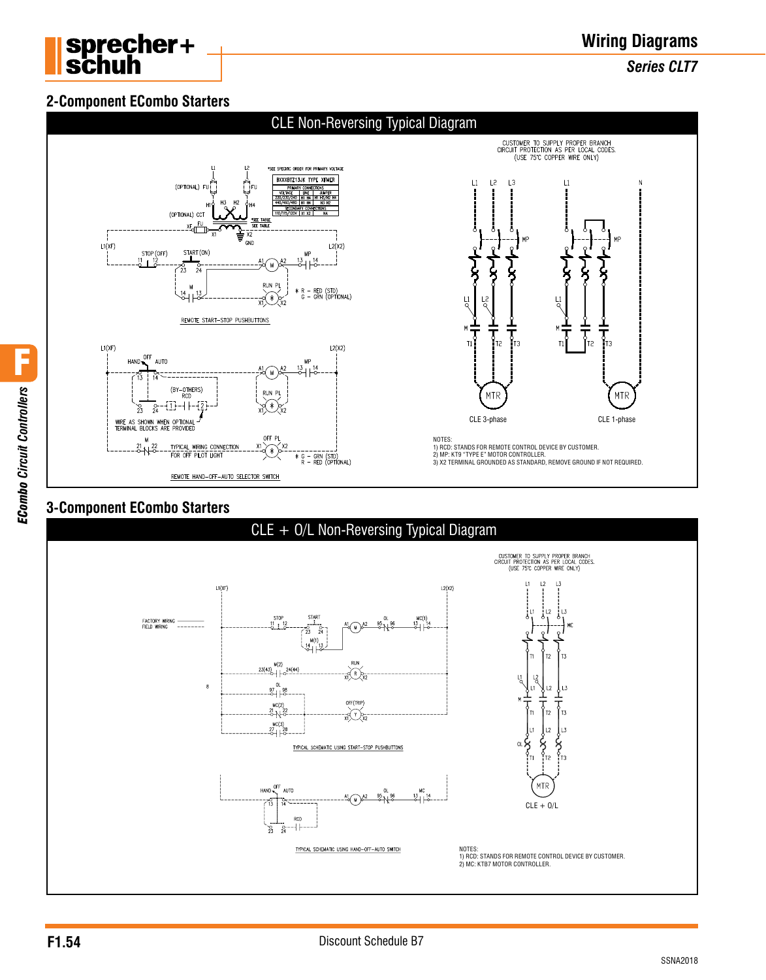

# **Wiring Diagrams**

*Series CLT7*

#### **2-Component ECombo Starters**